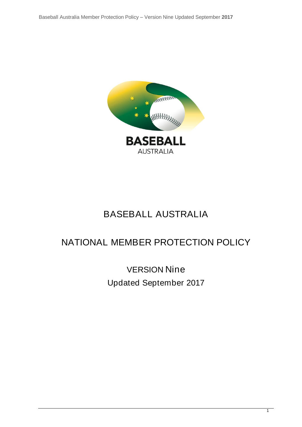

# BASEBALL AUSTRALIA

# NATIONAL MEMBER PROTECTION POLICY

VERSION Nine Updated September 2017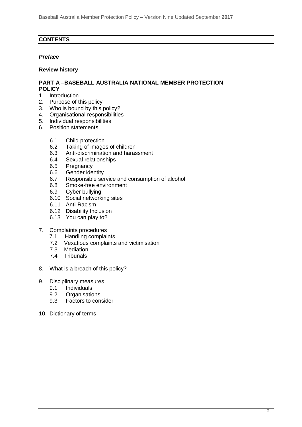### **CONTENTS**

### *Preface*

### **Review history**

### **PART A –BASEBALL AUSTRALIA NATIONAL MEMBER PROTECTION POLICY**

- 1. Introduction
- 2. Purpose of this policy
- 3. Who is bound by this policy?
- 4. Organisational responsibilities
- 5. Individual responsibilities
- 6. Position statements
	- 6.1 Child protection
	- 6.2 Taking of images of children<br>6.3 Anti-discrimination and haras
	- 6.3 Anti-discrimination and harassment
	- 6.4 Sexual relationships
	- 6.5 Pregnancy
	- 6.6 Gender identity
	- 6.7 Responsible service and consumption of alcohol
	- 6.8 Smoke-free environment
	- 6.9 Cyber bullying
	- 6.10 Social networking sites
	- 6.11 Anti-Racism
	- 6.12 Disability Inclusion
	- 6.13 You can play to?
- 7. Complaints procedures
	- 7.1 Handling complaints
	- 7.2 Vexatious complaints and victimisation
	- 7.3 Mediation
	- 7.4 Tribunals
- 8. What is a breach of this policy?
- 9. Disciplinary measures
	- 9.1 Individuals
	- 9.2 Organisations
	- 9.3 Factors to consider
- 10. Dictionary of terms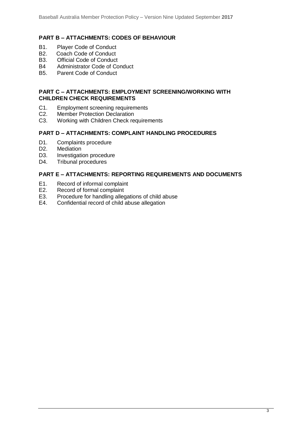### **PART B – ATTACHMENTS: CODES OF BEHAVIOUR**

- B1. Player Code of Conduct<br>B2. Coach Code of Conduct
- Coach Code of Conduct
- B3. Official Code of Conduct
- B4 Administrator Code of Conduct
- B5. Parent Code of Conduct

### **PART C – ATTACHMENTS: EMPLOYMENT SCREENING/WORKING WITH CHILDREN CHECK REQUIREMENTS**

- C1. Employment screening requirements
- C2. Member Protection Declaration<br>C3. Working with Children Check re
- Working with Children Check requirements

### **PART D – ATTACHMENTS: COMPLAINT HANDLING PROCEDURES**

- D1. Complaints procedure
- D<sub>2</sub>. Mediation
- D3. Investigation procedure
- D4. Tribunal procedures

### **PART E – ATTACHMENTS: REPORTING REQUIREMENTS AND DOCUMENTS**

- E1. Record of informal complaint
- E2. Record of formal complaint
- E3. Procedure for handling allegations of child abuse
- E4. Confidential record of child abuse allegation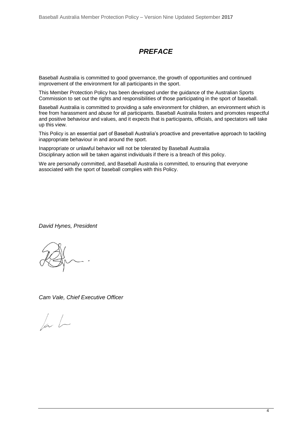# *PREFACE*

Baseball Australia is committed to good governance, the growth of opportunities and continued improvement of the environment for all participants in the sport.

This Member Protection Policy has been developed under the guidance of the Australian Sports Commission to set out the rights and responsibilities of those participating in the sport of baseball.

Baseball Australia is committed to providing a safe environment for children, an environment which is free from harassment and abuse for all participants. Baseball Australia fosters and promotes respectful and positive behaviour and values, and it expects that is participants, officials, and spectators will take up this view.

This Policy is an essential part of Baseball Australia's proactive and preventative approach to tackling inappropriate behaviour in and around the sport.

Inappropriate or unlawful behavior will not be tolerated by Baseball Australia Disciplinary action will be taken against individuals if there is a breach of this policy.

We are personally committed, and Baseball Australia is committed, to ensuring that everyone associated with the sport of baseball complies with this Policy.

*David Hynes, President*

*Cam Vale, Chief Executive Officer*

 $\sqrt{a}$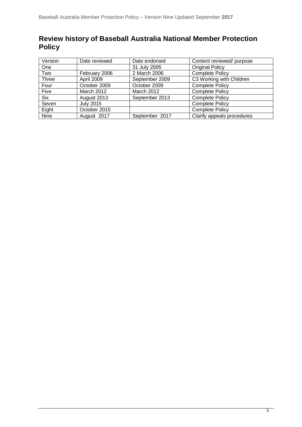# **Review history of Baseball Australia National Member Protection Policy**

| Version      | Date reviewed    | Date endorsed  | Content reviewed/ purpose  |
|--------------|------------------|----------------|----------------------------|
| One          |                  | 31 July 2005   | <b>Original Policy</b>     |
| Two          | February 2006    | 2 March 2006   | <b>Complete Policy</b>     |
| <b>Three</b> | April 2009       | September 2009 | C3 Working with Children   |
| Four         | October 2009     | October 2009   | <b>Complete Policy</b>     |
| Five         | March 2012       | March 2012     | <b>Complete Policy</b>     |
| <b>Six</b>   | August 2013      | September 2013 | <b>Complete Policy</b>     |
| Seven        | <b>July 2015</b> |                | <b>Complete Policy</b>     |
| Eight        | October 2015     |                | <b>Complete Policy</b>     |
| Nine         | August 2017      | September 2017 | Clarify appeals procedures |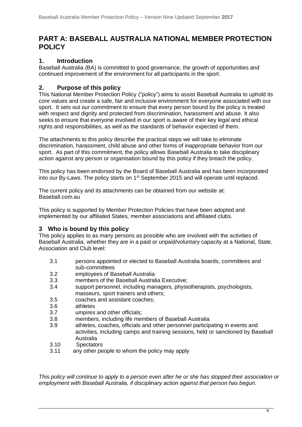# **PART A: BASEBALL AUSTRALIA NATIONAL MEMBER PROTECTION POLICY**

## **1. Introduction**

Baseball Australia (BA) is committed to good governance, the growth of opportunities and continued improvement of the environment for all participants in the sport.

### **2. Purpose of this policy**

This National Member Protection Policy ("policy") aims to assist Baseball Australia to uphold its core values and create a safe, fair and inclusive environment for everyone associated with our sport. It sets out our commitment to ensure that every person bound by the policy is treated with respect and dignity and protected from discrimination, harassment and abuse. It also seeks to ensure that everyone involved in our sport is aware of their key legal and ethical rights and responsibilities, as well as the standards of behavior expected of them.

The attachments to this policy describe the practical steps we will take to eliminate discrimination, harassment, child abuse and other forms of inappropriate behavior from our sport. As part of this commitment, the policy allows Baseball Australia to take disciplinary action against any person or organisation bound by this policy if they breach the policy.

This policy has been endorsed by the Board of Baseball Australia and has been incorporated into our By-Laws. The policy starts on 1<sup>st</sup> September 2015 and will operate until replaced.

The current policy and its attachments can be obtained from our website at: Baseball.com.au

This policy is supported by Member Protection Policies that have been adopted and implemented by our affiliated States, member associations and affiliated clubs.

### **3 Who is bound by this policy**

This policy applies to as many persons as possible who are involved with the activities of Baseball Australia, whether they are in a paid or unpaid/voluntary capacity at a National, State, Association and Club level:

- 3.1 persons appointed or elected to Baseball Australia boards, committees and sub-committees
- 3.2 employees of Baseball Australia
- 3.3 members of the Baseball Australia Executive;
- 3.4 support personnel, including managers, physiotherapists, psychologists, masseurs, sport trainers and others;
- 3.5 coaches and assistant coaches;
- 3.6 athletes
- 3.7 umpires and other officials;
- 3.8 members, including life members of Baseball Australia
- 3.9 athletes, coaches, officials and other personnel participating in events and activities, including camps and training sessions, held or sanctioned by Baseball Australia
- 3.10 Spectators
- 3.11 any other people to whom the policy may apply

*This policy will continue to apply to a person even after he or she has stopped their association or employment with Baseball Australia, if disciplinary action against that person has begun.*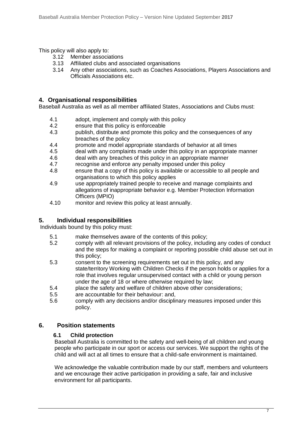This policy will also apply to:

- 3.12 Member associations
- 3.13 Affiliated clubs and associated organisations
- 3.14 Any other associations, such as Coaches Associations, Players Associations and Officials Associations etc.

### **4. Organisational responsibilities**

Baseball Australia as well as all member affiliated States, Associations and Clubs must:

- 4.1 adopt, implement and comply with this policy
- 4.2 ensure that this policy is enforceable
- 4.3 publish, distribute and promote this policy and the consequences of any breaches of the policy
- 4.4 promote and model appropriate standards of behavior at all times
- 4.5 deal with any complaints made under this policy in an appropriate manner
- 4.6 deal with any breaches of this policy in an appropriate manner
- 4.7 recognise and enforce any penalty imposed under this policy
- 4.8 ensure that a copy of this policy is available or accessible to all people and organisations to which this policy applies
- 4.9 use appropriately trained people to receive and manage complaints and allegations of inappropriate behavior e.g. Member Protection Information Officers (MPIO)
- 4.10 monitor and review this policy at least annually.

## **5. Individual responsibilities**

Individuals bound by this policy must:

- 5.1 make themselves aware of the contents of this policy;
- 5.2 comply with all relevant provisions of the policy, including any codes of conduct and the steps for making a complaint or reporting possible child abuse set out in this policy;
- 5.3 consent to the screening requirements set out in this policy, and any state/territory Working with Children Checks if the person holds or applies for a role that involves regular unsupervised contact with a child or young person under the age of 18 or where otherwise required by law;
- 5.4 place the safety and welfare of children above other considerations;
- 5.5 are accountable for their behaviour: and,
- 5.6 comply with any decisions and/or disciplinary measures imposed under this policy.

## **6. Position statements**

### **6.1 Child protection**

Baseball Australia is committed to the safety and well-being of all children and young people who participate in our sport or access our services. We support the rights of the child and will act at all times to ensure that a child-safe environment is maintained.

We acknowledge the valuable contribution made by our staff, members and volunteers and we encourage their active participation in providing a safe, fair and inclusive environment for all participants.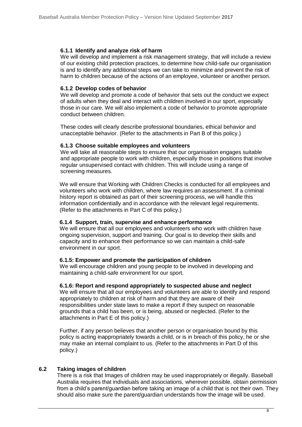### **6.1.1 Identify and analyze risk of harm**

We will develop and implement a risk management strategy, that will include a review of our existing child protection practices, to determine how child-safe our organisation is and to identify any additional steps we can take to minimize and prevent the risk of harm to children because of the actions of an employee, volunteer or another person.

### **6.1.2 Develop codes of behavior**

We will develop and promote a code of behavior that sets out the conduct we expect of adults when they deal and interact with children involved in our sport, especially those in our care. We will also implement a code of behavior to promote appropriate conduct between children.

These codes will clearly describe professional boundaries, ethical behavior and unacceptable behavior. (Refer to the attachments in Part B of this policy.)

### **6.1.3 Choose suitable employees and volunteers**

We will take all reasonable steps to ensure that our organisation engages suitable and appropriate people to work with children, especially those in positions that involve regular unsupervised contact with children. This will include using a range of screening measures.

We will ensure that Working with Children Checks is conducted for all employees and volunteers who work with children, where law requires an assessment. If a criminal history report is obtained as part of their screening process, we will handle this information confidentially and in accordance with the relevant legal requirements. (Refer to the attachments in Part C of this policy.)

### **6.1.4 Support, train, supervise and enhance performance**

We will ensure that all our employees and volunteers who work with children have ongoing supervision, support and training. Our goal is to develop their skills and capacity and to enhance their performance so we can maintain a child-safe environment in our sport.

### **6.1.5: Empower and promote the participation of children**

We will encourage children and young people to be involved in developing and maintaining a child-safe environment for our sport.

### **6.1.6: Report and respond appropriately to suspected abuse and neglect**

We will ensure that all our employees and volunteers are able to identify and respond appropriately to children at risk of harm and that they are aware of their responsibilities under state laws to make a report if they suspect on reasonable grounds that a child has been, or is being, abused or neglected. (Refer to the attachments in Part E of this policy.)

Further, if any person believes that another person or organisation bound by this policy is acting inappropriately towards a child, or is in breach of this policy, he or she may make an internal complaint to us. (Refer to the attachments in Part D of this policy.)

### **6.2 Taking images of children**

There is a risk that Images of children may be used inappropriately or illegally. Baseball Australia requires that individuals and associations, wherever possible, obtain permission from a child's parent/guardian before taking an image of a child that is not their own. They should also make sure the parent/guardian understands how the image will be used.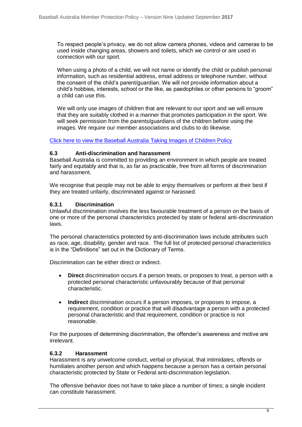To respect people's privacy, we do not allow camera phones, videos and cameras to be used inside changing areas, showers and toilets, which we control or are used in connection with our sport.

When using a photo of a child, we will not name or identify the child or publish personal information, such as residential address, email address or telephone number, without the consent of the child's parent/guardian. We will not provide information about a child's hobbies, interests, school or the like, as paedophiles or other persons to "groom" a child can use this.

We will only use images of children that are relevant to our sport and we will ensure that they are suitably clothed in a manner that promotes participation in the sport. We will seek permission from the parents/guardians of the children before using the images. We require our member associations and clubs to do likewise.

[Click here to view the Baseball Australia Taking Images of Children Policy](http://www.baseball.com.au/Portals/27/Policies/ImagesOfChildren.pdf)

### **6.3 Anti-discrimination and harassment**

Baseball Australia is committed to providing an environment in which people are treated fairly and equitably and that is, as far as practicable, free from all forms of discrimination and harassment.

We recognise that people may not be able to enjoy themselves or perform at their best if they are treated unfairly, discriminated against or harassed.

### **6.3.1 Discrimination**

Unlawful discrimination involves the less favourable treatment of a person on the basis of one or more of the personal characteristics protected by state or federal anti-discrimination laws.

The personal characteristics protected by anti-discrimination laws include attributes such as race, age, disability, gender and race. The full list of protected personal characteristics is in the "Definitions" set out in the Dictionary of Terms.

Discrimination can be either direct or indirect.

- **Direct** discrimination occurs if a person treats, or proposes to treat, a person with a protected personal characteristic unfavourably because of that personal characteristic.
- **Indirect** discrimination occurs if a person imposes, or proposes to impose, a requirement, condition or practice that will disadvantage a person with a protected personal characteristic and that requirement, condition or practice is not reasonable.

For the purposes of determining discrimination, the offender's awareness and motive are irrelevant.

### **6.3.2 Harassment**

Harassment is any unwelcome conduct, verbal or physical, that intimidates, offends or humiliates another person and which happens because a person has a certain personal characteristic protected by State or Federal anti-discrimination legislation.

The offensive behavior does not have to take place a number of times; a single incident can constitute harassment.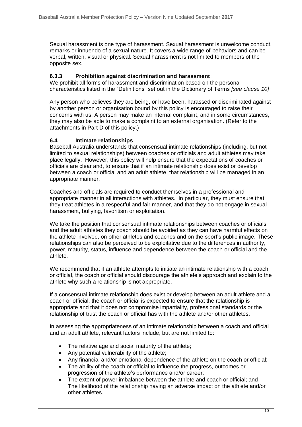Sexual harassment is one type of harassment. Sexual harassment is unwelcome conduct, remarks or innuendo of a sexual nature. It covers a wide range of behaviors and can be verbal, written, visual or physical. Sexual harassment is not limited to members of the opposite sex.

### **6.3.3 Prohibition against discrimination and harassment**

We prohibit all forms of harassment and discrimination based on the personal characteristics listed in the "Definitions" set out in the Dictionary of Terms *[see clause 10]*

Any person who believes they are being, or have been, harassed or discriminated against by another person or organisation bound by this policy is encouraged to raise their concerns with us. A person may make an internal complaint, and in some circumstances, they may also be able to make a complaint to an external organisation. (Refer to the attachments in Part D of this policy.)

### **6.4 Intimate relationships**

Baseball Australia understands that consensual intimate relationships (including, but not limited to sexual relationships) between coaches or officials and adult athletes may take place legally. However, this policy will help ensure that the expectations of coaches or officials are clear and, to ensure that if an intimate relationship does exist or develop between a coach or official and an adult athlete, that relationship will be managed in an appropriate manner.

Coaches and officials are required to conduct themselves in a professional and appropriate manner in all interactions with athletes. In particular, they must ensure that they treat athletes in a respectful and fair manner, and that they do not engage in sexual harassment, bullying, favoritism or exploitation.

We take the position that consensual intimate relationships between coaches or officials and the adult athletes they coach should be avoided as they can have harmful effects on the athlete involved, on other athletes and coaches and on the sport's public image. These relationships can also be perceived to be exploitative due to the differences in authority, power, maturity, status, influence and dependence between the coach or official and the athlete.

We recommend that if an athlete attempts to initiate an intimate relationship with a coach or official, the coach or official should discourage the athlete's approach and explain to the athlete why such a relationship is not appropriate.

If a consensual intimate relationship does exist or develop between an adult athlete and a coach or official, the coach or official is expected to ensure that the relationship is appropriate and that it does not compromise impartiality, professional standards or the relationship of trust the coach or official has with the athlete and/or other athletes.

In assessing the appropriateness of an intimate relationship between a coach and official and an adult athlete, relevant factors include, but are not limited to:

- The relative age and social maturity of the athlete;
- Any potential vulnerability of the athlete;
- Any financial and/or emotional dependence of the athlete on the coach or official;
- The ability of the coach or official to influence the progress, outcomes or progression of the athlete's performance and/or career;
- The extent of power imbalance between the athlete and coach or official; and The likelihood of the relationship having an adverse impact on the athlete and/or other athletes.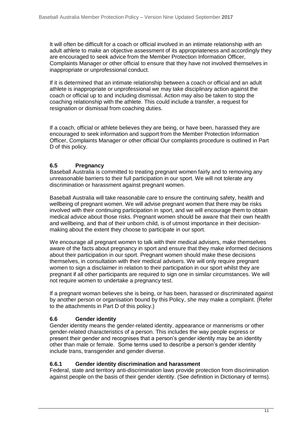It will often be difficult for a coach or official involved in an intimate relationship with an adult athlete to make an objective assessment of its appropriateness and accordingly they are encouraged to seek advice from the Member Protection Information Officer*,*  Complaints Manager or other official to ensure that they have not involved themselves in inappropriate or unprofessional conduct.

If it is determined that an intimate relationship between a coach or official and an adult athlete is inappropriate or unprofessional we may take disciplinary action against the coach or official up to and including dismissal. Action may also be taken to stop the coaching relationship with the athlete. This could include a transfer, a request for resignation or dismissal from coaching duties.

If a coach, official or athlete believes they are being, or have been, harassed they are encouraged to seek information and support from the Member Protection Information Officer, Complaints Manager or other official Our complaints procedure is outlined in Part D of this policy.

### **6.5 Pregnancy**

Baseball Australia is committed to treating pregnant women fairly and to removing any unreasonable barriers to their full participation in our sport. We will not tolerate any discrimination or harassment against pregnant women.

Baseball Australia will take reasonable care to ensure the continuing safety, health and wellbeing of pregnant women. We will advise pregnant women that there may be risks involved with their continuing participation in sport, and we will encourage them to obtain medical advice about those risks. Pregnant women should be aware that their own health and wellbeing, and that of their unborn child, is of utmost importance in their decisionmaking about the extent they choose to participate in our sport.

We encourage all pregnant women to talk with their medical advisers, make themselves aware of the facts about pregnancy in sport and ensure that they make informed decisions about their participation in our sport. Pregnant women should make these decisions themselves, in consultation with their medical advisers. We will only require pregnant women to sign a disclaimer in relation to their participation in our sport whilst they are pregnant if all other participants are required to sign one in similar circumstances. We will not require women to undertake a pregnancy test.

If a pregnant woman believes she is being, or has been, harassed or discriminated against by another person or organisation bound by this Policy, she may make a complaint. (Refer to the attachments in Part D of this policy.)

### **6.6 Gender identity**

Gender identity means the gender-related identity, appearance or mannerisms or other gender-related characteristics of a person. This includes the way people express or present their gender and recognises that a person's gender identity may be an identity other than male or female. Some terms used to describe a person's gender identity include trans, transgender and gender diverse.

### **6.6.1 Gender identity discrimination and harassment**

Federal, state and territory anti-discrimination laws provide protection from discrimination against people on the basis of their gender identity. (See definition in Dictionary of terms).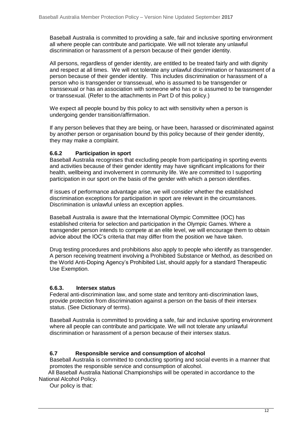Baseball Australia is committed to providing a safe, fair and inclusive sporting environment all where people can contribute and participate. We will not tolerate any unlawful discrimination or harassment of a person because of their gender identity.

All persons, regardless of gender identity, are entitled to be treated fairly and with dignity and respect at all times. We will not tolerate any unlawful discrimination or harassment of a person because of their gender identity. This includes discrimination or harassment of a person who is transgender or transsexual, who is assumed to be transgender or transsexual or has an association with someone who has or is assumed to be transgender or transsexual. (Refer to the attachments in Part D of this policy.)

We expect all people bound by this policy to act with sensitivity when a person is undergoing gender transition/affirmation.

If any person believes that they are being, or have been, harassed or discriminated against by another person or organisation bound by this policy because of their gender identity, they may make a complaint.

### **6.6.2 Participation in sport**

Baseball Australia recognises that excluding people from participating in sporting events and activities because of their gender identity may have significant implications for their health, wellbeing and involvement in community life. We are committed to l supporting participation in our sport on the basis of the gender with which a person identifies.

If issues of performance advantage arise, we will consider whether the established discrimination exceptions for participation in sport are relevant in the circumstances. Discrimination is unlawful unless an exception applies.

Baseball Australia is aware that the International Olympic Committee (IOC) has established criteria for selection and participation in the Olympic Games. Where a transgender person intends to compete at an elite level, we will encourage them to obtain advice about the IOC's criteria that may differ from the position we have taken.

Drug testing procedures and prohibitions also apply to people who identify as transgender. A person receiving treatment involving a Prohibited Substance or Method, as described on the World Anti-Doping Agency's Prohibited List, should apply for a standard Therapeutic Use Exemption.

### **6.6.3. Intersex status**

Federal anti-discrimination law, and some state and territory anti-discrimination laws, provide protection from discrimination against a person on the basis of their intersex status. (See Dictionary of terms).

Baseball Australia is committed to providing a safe, fair and inclusive sporting environment where all people can contribute and participate. We will not tolerate any unlawful discrimination or harassment of a person because of their intersex status.

### **6.7 Responsible service and consumption of alcohol**

Baseball Australia is committed to conducting sporting and social events in a manner that promotes the responsible service and consumption of alcohol.

 All Baseball Australia National Championships will be operated in accordance to the National Alcohol Policy.

Our policy is that: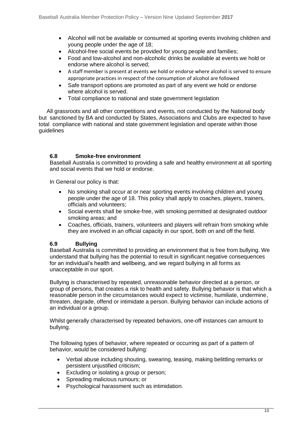- Alcohol will not be available or consumed at sporting events involving children and young people under the age of 18;
- Alcohol-free social events be provided for young people and families;
- Food and low-alcohol and non-alcoholic drinks be available at events we hold or endorse where alcohol is served;
- A staff member is present at events we hold or endorse where alcohol is served to ensure appropriate practices in respect of the consumption of alcohol are followed
- Safe transport options are promoted as part of any event we hold or endorse where alcohol is served.
- Total compliance to national and state government legislation

 All grassroots and all other competitions and events, not conducted by the National body but sanctioned by BA and conducted by States, Associations and Clubs are expected to have total compliance with national and state government legislation and operate within those guidelines

### **6.8 Smoke-free environment**

Baseball Australia is committed to providing a safe and healthy environment at all sporting and social events that we hold or endorse.

In General our policy is that:

- No smoking shall occur at or near sporting events involving children and young people under the age of 18. This policy shall apply to coaches, players, trainers, officials and volunteers;
- Social events shall be smoke-free, with smoking permitted at designated outdoor smoking areas; and
- Coaches, officials, trainers, volunteers and players will refrain from smoking while they are involved in an official capacity in our sport, both on and off the field.

### **6.9 Bullying**

Baseball Australia is committed to providing an environment that is free from bullying. We understand that bullying has the potential to result in significant negative consequences for an individual's health and wellbeing, and we regard bullying in all forms as unacceptable in our sport.

Bullying is characterised by repeated, unreasonable behavior directed at a person, or group of persons, that creates a risk to health and safety. Bullying behavior is that which a reasonable person in the circumstances would expect to victimise, humiliate, undermine, threaten, degrade, offend or intimidate a person. Bullying behavior can include actions of an individual or a group.

Whilst generally characterised by repeated behaviors, one-off instances can amount to bullying.

The following types of behavior, where repeated or occurring as part of a pattern of behavior, would be considered bullying:

- Verbal abuse including shouting, swearing, teasing, making belittling remarks or persistent unjustified criticism;
- Excluding or isolating a group or person;
- Spreading malicious rumours; or
- Psychological harassment such as intimidation.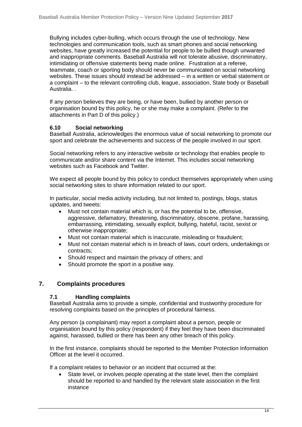Bullying includes cyber-bulling, which occurs through the use of technology. New technologies and communication tools, such as smart phones and social networking websites, have greatly increased the potential for people to be bullied though unwanted and inappropriate comments. Baseball Australia will not tolerate abusive, discriminatory, intimidating or offensive statements being made online. Frustration at a referee, teammate, coach or sporting body should never be communicated on social networking websites. These issues should instead be addressed – in a written or verbal statement or a complaint – to the relevant controlling club, league, association, State body or Baseball Australia. .

If any person believes they are being, or have been, bullied by another person or organisation bound by this policy, he or she may make a complaint. (Refer to the attachments in Part D of this policy.)

### **6.10 Social networking**

Baseball Australia, acknowledges the enormous value of social networking to promote our sport and celebrate the achievements and success of the people involved in our sport.

Social networking refers to any interactive website or technology that enables people to communicate and/or share content via the Internet. This includes social networking websites such as Facebook and Twitter.

We expect all people bound by this policy to conduct themselves appropriately when using social networking sites to share information related to our sport.

In particular, social media activity including, but not limited to, postings, blogs, status updates, and tweets:

- Must not contain material which is, or has the potential to be, offensive, aggressive, defamatory, threatening, discriminatory, obscene, profane, harassing, embarrassing, intimidating, sexually explicit, bullying, hateful, racist, sexist or otherwise inappropriate;
- Must not contain material which is inaccurate, misleading or fraudulent;
- Must not contain material which is in breach of laws, court orders, undertakings or contracts;
- Should respect and maintain the privacy of others; and
- Should promote the sport in a positive way.

### **7. Complaints procedures**

### **7.1 Handling complaints**

Baseball Australia aims to provide a simple, confidential and trustworthy procedure for resolving complaints based on the principles of procedural fairness.

Any person (a complainant) may report a complaint about a person, people or organisation bound by this policy (respondent) if they feel they have been discriminated against, harassed, bullied or there has been any other breach of this policy.

In the first instance, complaints should be reported to the Member Protection Information Officer at the level it occurred.

If a complaint relates to behavior or an incident that occurred at the:

• State level, or involves people operating at the state level, then the complaint should be reported to and handled by the relevant state association in the first instance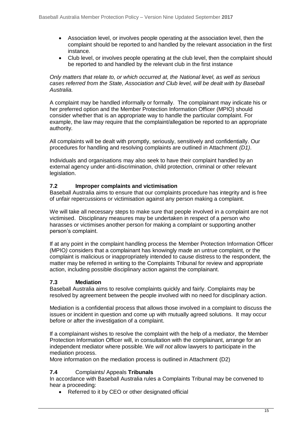- Association level, or involves people operating at the association level, then the complaint should be reported to and handled by the relevant association in the first instance.
- Club level, or involves people operating at the club level, then the complaint should be reported to and handled by the relevant club in the first instance

*Only matters that relate to, or which occurred at, the National level, as well as serious cases referred from the State, Association and Club level, will be dealt with by Baseball Australia.* 

A complaint may be handled informally or formally. The complainant may indicate his or her preferred option and the Member Protection Information Officer (MPIO) should consider whether that is an appropriate way to handle the particular complaint. For example, the law may require that the complaint/allegation be reported to an appropriate authority.

All complaints will be dealt with promptly, seriously, sensitively and confidentially. Our procedures for handling and resolving complaints are outlined in Attachment *(D1)*.

Individuals and organisations may also seek to have their complaint handled by an external agency under anti-discrimination, child protection, criminal or other relevant legislation.

### **7.2 Improper complaints and victimisation**

Baseball Australia aims to ensure that our complaints procedure has integrity and is free of unfair repercussions or victimisation against any person making a complaint.

We will take all necessary steps to make sure that people involved in a complaint are not victimised. Disciplinary measures may be undertaken in respect of a person who harasses or victimises another person for making a complaint or supporting another person's complaint.

If at any point in the complaint handling process the Member Protection Information Officer (MPIO*)* considers that a complainant has knowingly made an untrue complaint, or the complaint is malicious or inappropriately intended to cause distress to the respondent, the matter may be referred in writing to the Complaints Tribunal for review and appropriate action, including possible disciplinary action against the complainant.

### **7.3 Mediation**

Baseball Australia aims to resolve complaints quickly and fairly. Complaints may be resolved by agreement between the people involved with no need for disciplinary action.

Mediation is a confidential process that allows those involved in a complaint to discuss the issues or incident in question and come up with mutually agreed solutions. It may occur before or after the investigation of a complaint.

If a complainant wishes to resolve the complaint with the help of a mediator, the Member Protection Information Officer will, in consultation with the complainant, arrange for an independent mediator where possible. We *will not* allow lawyers to participate in the mediation process.

More information on the mediation process is outlined in Attachment (D2)

### **7.4** Complaints/ Appeals **Tribunals**

In accordance with Baseball Australia rules a Complaints Tribunal may be convened to hear a proceeding:

• Referred to it by CEO or other designated official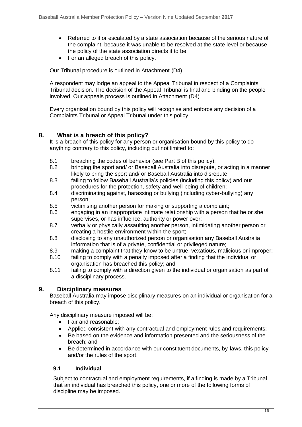- Referred to it or escalated by a state association because of the serious nature of the complaint, because it was unable to be resolved at the state level or because the policy of the state association directs it to be
- For an alleged breach of this policy.

Our Tribunal procedure is outlined in Attachment (D4)

A respondent may lodge an appeal to the Appeal Tribunal in respect of a Complaints Tribunal decision. The decision of the Appeal Tribunal is final and binding on the people involved. Our appeals process is outlined in Attachment (D4)

Every organisation bound by this policy will recognise and enforce any decision of a Complaints Tribunal or Appeal Tribunal under this policy.

### **8. What is a breach of this policy?**

It is a breach of this policy for any person or organisation bound by this policy to do anything contrary to this policy, including but not limited to:

- 8.1 breaching the codes of behavior (see Part B of this policy);
- 8.2 bringing the sport and/ or Baseball Australia into disrepute, or acting in a manner likely to bring the sport and/ or Baseball Australia into disrepute
- 8.3 failing to follow Baseball Australia's policies (including this policy) and our procedures for the protection, safety and well-being of children;
- 8.4 discriminating against, harassing or bullying (including cyber-bullying) any person;
- 8.5 victimising another person for making or supporting a complaint;
- 8.6 engaging in an inappropriate intimate relationship with a person that he or she supervises, or has influence, authority or power over;
- 8.7 verbally or physically assaulting another person, intimidating another person or creating a hostile environment within the sport;
- 8.8 disclosing to any unauthorized person or organisation any Baseball Australia information that is of a private, confidential or privileged nature;
- 8.9 making a complaint that they know to be untrue, vexatious, malicious or improper;
- 8.10 failing to comply with a penalty imposed after a finding that the individual or organisation has breached this policy; and
- 8.11 failing to comply with a direction given to the individual or organisation as part of a disciplinary process.

### **9. Disciplinary measures**

Baseball Australia may impose disciplinary measures on an individual or organisation for a breach of this policy.

Any disciplinary measure imposed will be:

- Fair and reasonable:
- Applied consistent with any contractual and employment rules and requirements;
- Be based on the evidence and information presented and the seriousness of the breach; and
- Be determined in accordance with our constituent documents, by-laws, this policy and/or the rules of the sport.

### **9.1 Individual**

Subject to contractual and employment requirements, if a finding is made by a Tribunal that an individual has breached this policy, one or more of the following forms of discipline may be imposed.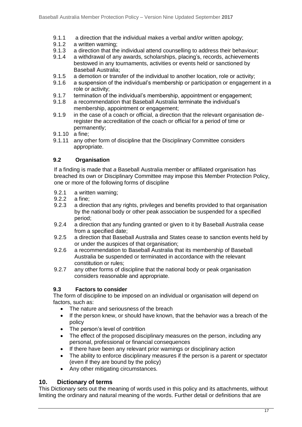- 9.1.1 a direction that the individual makes a verbal and/or written apology;
- 9.1.2 a written warning;
- 9.1.3 a direction that the individual attend counselling to address their behaviour;
- 9.1.4 a withdrawal of any awards, scholarships, placing's, records, achievements bestowed in any tournaments, activities or events held or sanctioned by Baseball Australia;
- 9.1.5 a demotion or transfer of the individual to another location, role or activity;
- 9.1.6 a suspension of the individual's membership or participation or engagement in a role or activity;
- 9.1.7 termination of the individual's membership, appointment or engagement;
- 9.1.8 a recommendation that Baseball Australia terminate the individual's membership, appointment or engagement;
- 9.1.9 in the case of a coach or official, a direction that the relevant organisation deregister the accreditation of the coach or official for a period of time or permanently;
- 9.1.10 a fine;
- 9.1.11 any other form of discipline that the Disciplinary Committee considers appropriate.

### **9.2 Organisation**

If a finding is made that *a* Baseball Australia member or affiliated organisation has breached its own or Disciplinary Committee may impose this Member Protection Policy, one or more of the following forms of discipline

- 9.2.1 a written warning;<br>9.2.2 a fine:
- a fine:
- 9.2.3 a direction that any rights, privileges and benefits provided to that organisation by the national body or other peak association be suspended for a specified period;
- 9.2.4 a direction that any funding granted or given to it by Baseball Australia cease from a specified date;
- 9.2.5 a direction that Baseball Australia and States cease to sanction events held by or under the auspices of that organisation;
- 9.2.6 a recommendation to Baseball Australia that its membership of Baseball Australia be suspended or terminated in accordance with the relevant constitution or rules;
- 9.2.7 any other forms of discipline that the national body or peak organisation considers reasonable and appropriate.

### **9.3 Factors to consider**

The form of discipline to be imposed on an individual or organisation will depend on factors, such as:

- The nature and seriousness of the breach
- If the person knew, or should have known, that the behavior was a breach of the policy
- The person's level of contrition
- The effect of the proposed disciplinary measures on the person, including any personal, professional or financial consequences
- If there have been any relevant prior warnings or disciplinary action
- The ability to enforce disciplinary measures if the person is a parent or spectator (even if they are bound by the policy)
- Any other mitigating circumstances.

### **10. Dictionary of terms**

This Dictionary sets out the meaning of words used in this policy and its attachments, without limiting the ordinary and natural meaning of the words. Further detail or definitions that are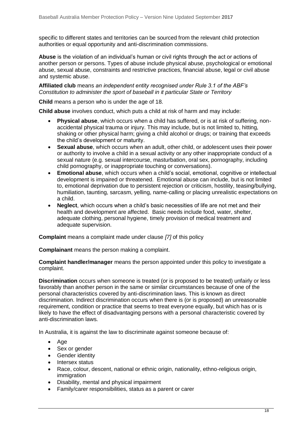specific to different states and territories can be sourced from the relevant child protection authorities or equal opportunity and anti-discrimination commissions.

**Abuse** is the violation of an individual's human or civil rights through the act or actions of another person or persons. Types of abuse include physical abuse, psychological or emotional abuse, sexual abuse, constraints and restrictive practices, financial abuse, legal or civil abuse and systemic abuse.

**Affiliated club** means *an independent entity recognised under Rule 3.1 of the ABF's Constitution to administer the sport of baseball in it particular State or Territory*

**Child** means a person who is under the age of 18.

**Child abuse** involves conduct, which puts a child at risk of harm and may include:

- **Physical abuse**, which occurs when a child has suffered, or is at risk of suffering, nonaccidental physical trauma or injury. This may include, but is not limited to, hitting, shaking or other physical harm; giving a child alcohol or drugs; or training that exceeds the child's development or maturity.
- **Sexual abuse**, which occurs when an adult, other child, or adolescent uses their power or authority to involve a child in a sexual activity or any other inappropriate conduct of a sexual nature (e.g. sexual intercourse, masturbation, oral sex, pornography, including child pornography, or inappropriate touching or conversations).
- **Emotional abuse**, which occurs when a child's social, emotional, cognitive or intellectual development is impaired or threatened. Emotional abuse can include, but is not limited to, emotional deprivation due to persistent rejection or criticism, hostility, teasing/bullying, humiliation, taunting, sarcasm, yelling, name-calling or placing unrealistic expectations on a child.
- **Neglect**, which occurs when a child's basic necessities of life are not met and their health and development are affected. Basic needs include food, water, shelter, adequate clothing, personal hygiene, timely provision of medical treatment and adequate supervision.

**Complaint** means a complaint made under clause *[7]* of this policy

**Complainant** means the person making a complaint.

**Complaint handler/manager** means the person appointed under this policy to investigate a complaint.

**Discrimination** occurs when someone is treated (or is proposed to be treated) unfairly or less favorably than another person in the same or similar circumstances because of one of the personal characteristics covered by anti-discrimination laws. This is known as direct discrimination. Indirect discrimination occurs when there is (or is proposed) an unreasonable requirement, condition or practice that seems to treat everyone equally, but which has or is likely to have the effect of disadvantaging persons with a personal characteristic covered by anti-discrimination laws.

In Australia, it is against the law to discriminate against someone because of:

- Age
- Sex or gender
- Gender identity
- Intersex status
- Race, colour, descent, national or ethnic origin, nationality, ethno-religious origin, immigration
- Disability, mental and physical impairment
- Family/carer responsibilities, status as a parent or carer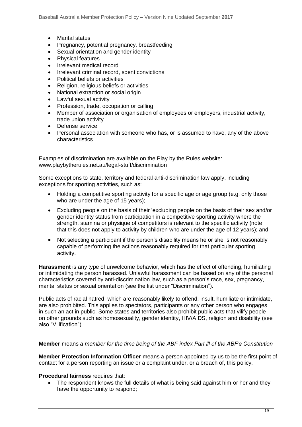- Marital status
- Pregnancy, potential pregnancy, breastfeeding
- Sexual orientation and gender identity
- Physical features
- Irrelevant medical record
- Irrelevant criminal record, spent convictions
- Political beliefs or activities
- Religion, religious beliefs or activities
- National extraction or social origin
- Lawful sexual activity
- Profession, trade, occupation or calling
- Member of association or organisation of employees or employers, industrial activity, trade union activity
- Defense service
- Personal association with someone who has, or is assumed to have, any of the above characteristics

Examples of discrimination are available on the Play by the Rules website: [www.playbytherules.net.au/legal-stuff/discrimination](http://www.playbytherules.net.au/legal-stuff/discrimination)

Some exceptions to state, territory and federal anti-discrimination law apply, including exceptions for sporting activities, such as:

- Holding a competitive sporting activity for a specific age or age group (e.g. only those who are under the age of 15 years);
- Excluding people on the basis of their 'excluding people on the basis of their sex and/or gender identity status from participation in a competitive sporting activity where the strength, stamina or physique of competitors is relevant to the specific activity (note that this does not apply to activity by children who are under the age of 12 years); and
- Not selecting a participant if the person's disability means he or she is not reasonably capable of performing the actions reasonably required for that particular sporting activity.

**Harassment** is any type of unwelcome behavior, which has the effect of offending, humiliating or intimidating the person harassed. Unlawful harassment can be based on any of the personal characteristics covered by anti-discrimination law, such as a person's race, sex, pregnancy, marital status or sexual orientation (see the list under "Discrimination").

Public acts of racial hatred, which are reasonably likely to offend, insult, humiliate or intimidate, are also prohibited. This applies to spectators, participants or any other person who engages in such an act in public. Some states and territories also prohibit public acts that vilify people on other grounds such as homosexuality, gender identity, HIV/AIDS, religion and disability (see also "Vilification").

### **Member** means *a member for the time being of the ABF index Part lll of the ABF's Constitution*

**Member Protection Information Officer** means a person appointed by us to be the first point of contact for a person reporting an issue or a complaint under, or a breach of, this policy.

### **Procedural fairness** requires that:

The respondent knows the full details of what is being said against him or her and they have the opportunity to respond;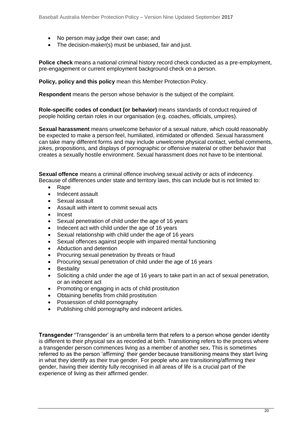- No person may judge their own case; and
- The decision-maker(s) must be unbiased, fair and just.

**Police check** means a national criminal history record check conducted as a pre-employment, pre-engagement or current employment background check on a person.

**Policy, policy and this policy** mean this Member Protection Policy.

**Respondent** means the person whose behavior is the subject of the complaint.

**Role-specific codes of conduct (or behavior)** means standards of conduct required of people holding certain roles in our organisation (e.g. coaches, officials, umpires).

**Sexual harassment** means unwelcome behavior of a sexual nature, which could reasonably be expected to make a person feel, humiliated, intimidated or offended. Sexual harassment can take many different forms and may include unwelcome physical contact, verbal comments, jokes, propositions, and displays of pornographic or offensive material or other behavior that creates a sexually hostile environment. Sexual harassment does not have to be intentional.

**Sexual offence** means a criminal offence involving sexual activity or acts of indecency. Because of differences under state and territory laws, this can include but is not limited to:

- Rape
- Indecent assault
- Sexual assault
- Assault with intent to commit sexual acts
- Incest
- Sexual penetration of child under the age of 16 years
- Indecent act with child under the age of 16 years
- Sexual relationship with child under the age of 16 years
- Sexual offences against people with impaired mental functioning
- Abduction and detention
- Procuring sexual penetration by threats or fraud
- Procuring sexual penetration of child under the age of 16 years
- **Bestiality**
- Soliciting a child under the age of 16 years to take part in an act of sexual penetration, or an indecent act
- Promoting or engaging in acts of child prostitution
- Obtaining benefits from child prostitution
- Possession of child pornography
- Publishing child pornography and indecent articles.

**Transgender '**Transgender' is an umbrella term that refers to a person whose gender identity is different to their physical sex as recorded at birth. Transitioning refers to the process where a transgender person commences living as a member of another sex**.** This is sometimes referred to as the person 'affirming' their gender because transitioning means they start living in what they identify as their true gender. For people who are transitioning/affirming their gender, having their identity fully recognised in all areas of life is a crucial part of the experience of living as their affirmed gender.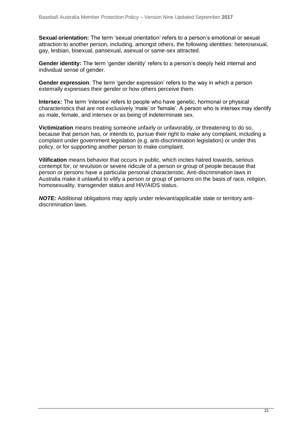**Sexual orientation:** The term 'sexual orientation' refers to a person's emotional or sexual attraction to another person, including, amongst others, the following identities: heterosexual, gay, lesbian, bisexual, pansexual, asexual or same-sex attracted.

**Gender identity:** The term 'gender identity' refers to a person's deeply held internal and individual sense of gender.

**Gender expression**: The term 'gender expression' refers to the way in which a person externally expresses their gender or how others perceive them.

**Intersex:** The term 'intersex' refers to people who have genetic, hormonal or physical characteristics that are not exclusively 'male' or 'female'. A person who is intersex may identify as male, female, and intersex or as being of indeterminate sex.

**Victimization** means treating someone unfairly or unfavorably, or threatening to do so, because that person has, or intends to, pursue their right to make any complaint, including a complaint under government legislation (e.g. anti-discrimination legislation) or under this policy, or for supporting another person to make complaint.

**Vilification** means behavior that occurs in public, which incites hatred towards, serious contempt for, or revulsion or severe ridicule of a person or group of people because that person or persons have a particular personal characteristic. Anti-discrimination laws in Australia make it unlawful to vilify a person or group of persons on the basis of race, religion, homosexuality, transgender status and HIV/AIDS status.

*NOTE:* Additional obligations may apply under relevant/applicable state or territory antidiscrimination laws.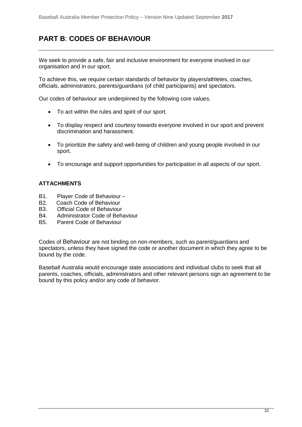# **PART B**: **CODES OF BEHAVIOUR**

We seek to provide a safe, fair and inclusive environment for everyone involved in our organisation and in our sport.

To achieve this, we require certain standards of behavior by players/athletes, coaches, officials, administrators, parents/guardians (of child participants) and spectators.

Our codes of behaviour are underpinned by the following core values.

- To act within the rules and spirit of our sport.
- To display respect and courtesy towards everyone involved in our sport and prevent discrimination and harassment.
- To prioritize the safety and well-being of children and young people involved in our sport.
- To encourage and support opportunities for participation in all aspects of our sport.

### **ATTACHMENTS**

- B1. Player Code of Behaviour –
- B2. Coach Code of Behaviour
- B3. Official Code of Behaviour
- B4. Administrator Code of Behaviour
- B5. Parent Code of Behaviour

Codes of Behaviour are not binding on non-members, such as parent/guardians and spectators, unless they have signed the code or another document in which they agree to be bound by the code.

Baseball Australia would encourage state associations and individual clubs to seek that all parents, coaches, officials, administrators and other relevant persons sign an agreement to be bound by this policy and/or any code of behavior.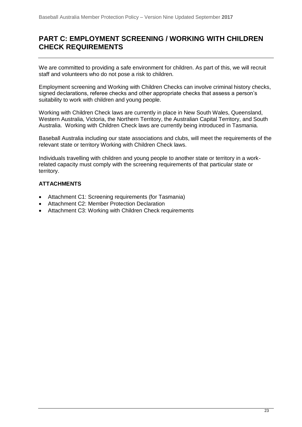# **PART C: EMPLOYMENT SCREENING / WORKING WITH CHILDREN CHECK REQUIREMENTS**

We are committed to providing a safe environment for children. As part of this, we will recruit staff and volunteers who do not pose a risk to children.

Employment screening and Working with Children Checks can involve criminal history checks, signed declarations, referee checks and other appropriate checks that assess a person's suitability to work with children and young people.

Working with Children Check laws are currently in place in New South Wales, Queensland, Western Australia, Victoria, the Northern Territory, the Australian Capital Territory, and South Australia. Working with Children Check laws are currently being introduced in Tasmania.

Baseball Australia including our state associations and clubs, will meet the requirements of the relevant state or territory Working with Children Check laws.

Individuals travelling with children and young people to another state or territory in a workrelated capacity must comply with the screening requirements of that particular state or territory.

### **ATTACHMENTS**

- Attachment C1: Screening requirements (for Tasmania)
- Attachment C2: Member Protection Declaration
- Attachment C3: Working with Children Check requirements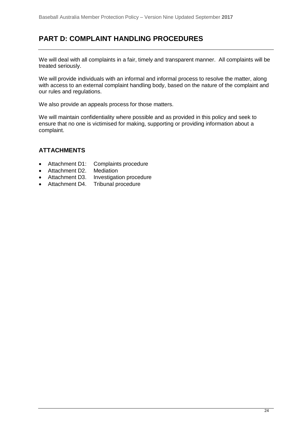# **PART D: COMPLAINT HANDLING PROCEDURES**

We will deal with all complaints in a fair, timely and transparent manner. All complaints will be treated seriously.

We will provide individuals with an informal and informal process to resolve the matter, along with access to an external complaint handling body, based on the nature of the complaint and our rules and regulations.

We also provide an appeals process for those matters.

We will maintain confidentiality where possible and as provided in this policy and seek to ensure that no one is victimised for making, supporting or providing information about a complaint.

### **ATTACHMENTS**

- Attachment D1: Complaints procedure
- Attachment D2. Mediation
- Attachment D3. Investigation procedure
- Attachment D4. Tribunal procedure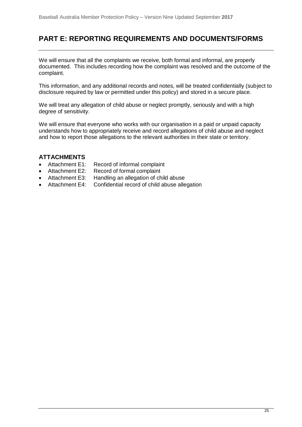# **PART E: REPORTING REQUIREMENTS AND DOCUMENTS/FORMS**

We will ensure that all the complaints we receive, both formal and informal, are properly documented. This includes recording how the complaint was resolved and the outcome of the complaint.

This information, and any additional records and notes, will be treated confidentially (subject to disclosure required by law or permitted under this policy) and stored in a secure place.

We will treat any allegation of child abuse or neglect promptly, seriously and with a high degree of sensitivity.

We will ensure that everyone who works with our organisation in a paid or unpaid capacity understands how to appropriately receive and record allegations of child abuse and neglect and how to report those allegations to the relevant authorities in their state or territory.

# **ATTACHMENTS**<br>• Attachment E1:

- Record of informal complaint
- Attachment E2: Record of formal complaint
- Attachment E3: Handling an allegation of child abuse
- Attachment E4: Confidential record of child abuse allegation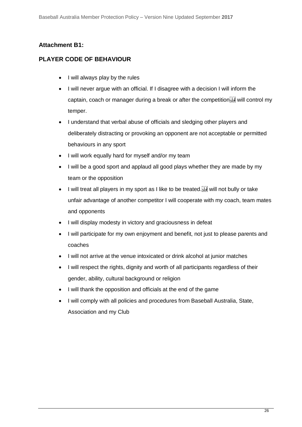# **Attachment B1:**

# **PLAYER CODE OF BEHAVIOUR**

- I will always play by the rules
- I will never argue with an official. If I disagree with a decision I will inform the captain, coach or manager during a break or after the competition  $\frac{1}{2}$  will control my temper.
- I understand that verbal abuse of officials and sledging other players and deliberately distracting or provoking an opponent are not acceptable or permitted behaviours in any sport
- I will work equally hard for myself and/or my team
- I will be a good sport and applaud all good plays whether they are made by my team or the opposition
- I will treat all players in my sport as I like to be treated.<sup>[17]</sup> will not bully or take unfair advantage of another competitor I will cooperate with my coach, team mates and opponents
- I will display modesty in victory and graciousness in defeat
- I will participate for my own enjoyment and benefit, not just to please parents and coaches
- I will not arrive at the venue intoxicated or drink alcohol at junior matches
- I will respect the rights, dignity and worth of all participants regardless of their gender, ability, cultural background or religion
- I will thank the opposition and officials at the end of the game
- I will comply with all policies and procedures from Baseball Australia, State, Association and my Club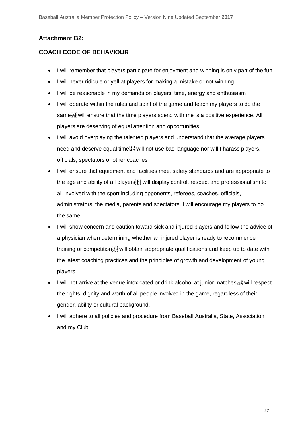# **Attachment B2:**

# **COACH CODE OF BEHAVIOUR**

- I will remember that players participate for enjoyment and winning is only part of the fun
- I will never ridicule or yell at players for making a mistake or not winning
- I will be reasonable in my demands on players' time, energy and enthusiasm
- I will operate within the rules and spirit of the game and teach my players to do the same<sup>[17]</sup> will ensure that the time players spend with me is a positive experience. All players are deserving of equal attention and opportunities
- I will avoid overplaying the talented players and understand that the average players need and deserve equal time<sup>[17]</sup> will not use bad language nor will I harass players, officials, spectators or other coaches
- I will ensure that equipment and facilities meet safety standards and are appropriate to the age and ability of all players<sup>[1]</sup> will display control, respect and professionalism to all involved with the sport including opponents, referees, coaches, officials, administrators, the media, parents and spectators. I will encourage my players to do the same.
- I will show concern and caution toward sick and injured players and follow the advice of a physician when determining whether an injured player is ready to recommence training or competition<sup>[1]</sup> will obtain appropriate qualifications and keep up to date with the latest coaching practices and the principles of growth and development of young players
- I will not arrive at the venue intoxicated or drink alcohol at junior matches it will respect the rights, dignity and worth of all people involved in the game, regardless of their gender, ability or cultural background.
- I will adhere to all policies and procedure from Baseball Australia, State, Association and my Club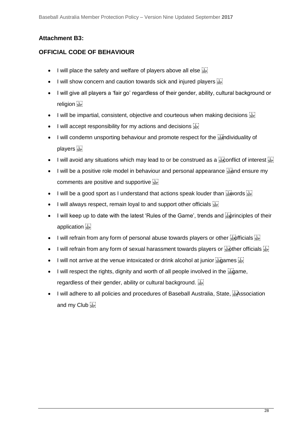# **Attachment B3:**

# **OFFICIAL CODE OF BEHAVIOUR**

- I will place the safety and welfare of players above all else  $\frac{1}{15}$
- I will show concern and caution towards sick and injured players **SEPI**
- I will give all players a 'fair go' regardless of their gender, ability, cultural background or religion sep
- I will be impartial, consistent, objective and courteous when making decisions  $\frac{17}{35}$
- I will accept responsibility for my actions and decisions  $\frac{1}{100}$
- $\bullet$  I will condemn unsporting behaviour and promote respect for the  $\frac{1}{2}$  m dividuality of players see
- I will avoid any situations which may lead to or be construed as a  $\frac{1}{356}$  conflict of interest  $\frac{17}{356}$
- $\bullet$  I will be a positive role model in behaviour and personal appearance  $\frac{1}{32}$  and ensure my comments are positive and supportive  $\left[\frac{1}{2E}\right]$
- I will be a good sport as I understand that actions speak louder than  $\frac{1}{3}$  words  $\frac{1}{3}$
- I will always respect, remain loyal to and support other officials  $\overline{\mathbb{G}}$
- $\bullet$  I will keep up to date with the latest 'Rules of the Game', trends and  $\frac{1}{32}$  principles of their application<sup>[11]</sup>
- I will refrain from any form of personal abuse towards players or other  $\frac{17}{3500}$  ficials  $\frac{17}{3500}$
- I will refrain from any form of sexual harassment towards players or  $\frac{17}{320}$  ther officials  $\frac{17}{322}$
- I will not arrive at the venue intoxicated or drink alcohol at junior  $\frac{1}{360}$  ames  $\frac{1}{360}$
- I will respect the rights, dignity and worth of all people involved in the suggame, regardless of their gender, ability or cultural background.
- $\bullet$  I will adhere to all policies and procedures of Baseball Australia, State,  $\frac{1}{2}$ Association and my Club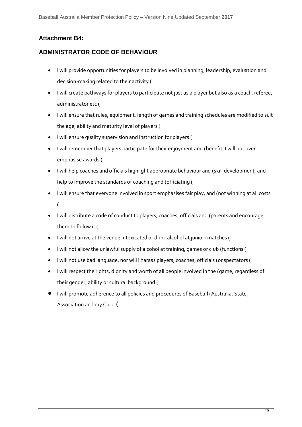# **Attachment B4:**

# **ADMINISTRATOR CODE OF BEHAVIOUR**

- I will provide opportunities for players to be involved in planning, leadership, evaluation and decision-making related to their activity
- I will create pathways for players to participate not just as a player but also as a coach, referee, administrator etc
- I will ensure that rules, equipment, length of games and training schedules are modified to suit the age, ability and maturity level of players
- I will ensure quality supervision and instruction for players (
- I will remember that players participate for their enjoyment and (benefit. I will not over emphasise awards
- I will help coaches and officials highlight appropriate behaviour and (skill development, and help to improve the standards of coaching and (officiating (
- I will ensure that everyone involved in sport emphasises fair play, and (not winning at all costs  $\overline{(\ }$
- I will distribute a code of conduct to players, coaches, officials and (parents and encourage them to follow it (
- I will not arrive at the venue intoxicated or drink alcohol at junior (matches (
- I will not allow the unlawful supply of alcohol at training, games or club (functions (
- I will not use bad language, nor will I harass players, coaches, officials (or spectators (
- I will respect the rights, dignity and worth of all people involved in the (game, regardless of their gender, ability or cultural background (
- I will promote adherence to all policies and procedures of Baseball (Australia, State, Association and my Club. (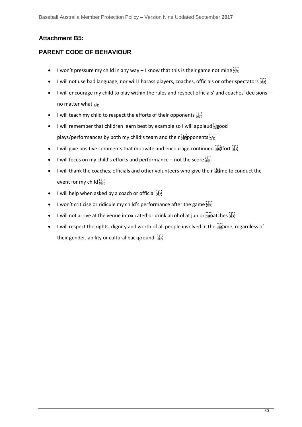# **Attachment B5:**

# **PARENT CODE OF BEHAVIOUR**

- I won't pressure my child in any way I know that this is their game not mine  $\frac{177}{35}$
- I will not use bad language, nor will I harass players, coaches, officials or other spectators [17]
- I will encourage my child to play within the rules and respect officials' and coaches' decisions no matter what  $\sum_{s \in P_1}$
- I will teach my child to respect the efforts of their opponents  $\frac{17}{155}$
- I will remember that children learn best by example so I will applaud  $\frac{17}{580}$ od plays/performances by both my child's team and their  $\frac{1}{1500}$  pponents  $\frac{1}{1500}$
- I will give positive comments that motivate and encourage continued  $\frac{1}{2}$  ffort  $\frac{1}{2}$
- I will focus on my child's efforts and performance not the score  $\frac{1}{15}$
- $\bullet$  I will thank the coaches, officials and other volunteers who give their  $\frac{1}{3}$  me to conduct the event for my child
- I will help when asked by a coach or official  $\frac{1}{15E}$
- I won't criticise or ridicule my child's performance after the game  $\frac{117}{35}$
- I will not arrive at the venue intoxicated or drink alcohol at junior  $\frac{1}{1200}$  atches  $\frac{1}{1200}$
- I will respect the rights, dignity and worth of all people involved in the **Figame**, regardless of their gender, ability or cultural background.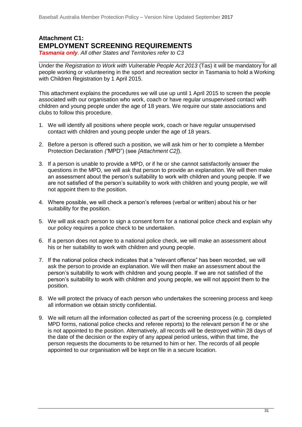# **Attachment C1: EMPLOYMENT SCREENING REQUIREMENTS**

*Tasmania only. All other States and Territories refer to C3*

Under the *Registration to Work with Vulnerable People Act 2013* (Tas) it will be mandatory for all people working or volunteering in the sport and recreation sector in Tasmania to hold a Working with Children Registration by 1 April 2015.

\_\_\_\_\_\_\_\_\_\_\_\_\_\_\_\_\_\_\_\_\_\_\_\_\_\_\_\_\_\_\_\_\_\_\_\_\_\_\_\_\_\_\_\_\_\_\_\_\_\_\_\_\_\_\_\_\_\_\_\_\_\_\_\_\_\_\_\_\_\_\_\_\_

This attachment explains the procedures we will use up until 1 April 2015 to screen the people associated with our organisation who work, coach or have regular unsupervised contact with children and young people under the age of 18 years. We require our state associations and clubs to follow this procedure.

- 1. We will identify all positions where people work, coach or have regular unsupervised contact with children and young people under the age of 18 years.
- 2. Before a person is offered such a position, we will ask him or her to complete a Member Protection Declaration *("*MPD") (see *[Attachment C2]*).
- 3. If a person is unable to provide a MPD, or if he or she cannot satisfactorily answer the questions in the MPD, we will ask that person to provide an explanation. We will then make an assessment about the person's suitability to work with children and young people. If we are not satisfied of the person's suitability to work with children and young people, we will not appoint them to the position.
- 4. Where possible, we will check a person's referees (verbal or written) about his or her suitability for the position.
- 5. We will ask each person to sign a consent form for a national police check and explain why our policy requires a police check to be undertaken.
- 6. If a person does not agree to a national police check, we will make an assessment about his or her suitability to work with children and young people.
- 7. If the national police check indicates that a "relevant offence" has been recorded, we will ask the person to provide an explanation. We will then make an assessment about the person's suitability to work with children and young people. If we are not satisfied of the person's suitability to work with children and young people, we will not appoint them to the position.
- 8. We will protect the privacy of each person who undertakes the screening process and keep all information we obtain strictly confidential.
- 9. We will return all the information collected as part of the screening process (e.g. completed MPD forms, national police checks and referee reports) to the relevant person if he or she is not appointed to the position. Alternatively, all records will be destroyed within 28 days of the date of the decision or the expiry of any appeal period unless, within that time, the person requests the documents to be returned to him or her. The records of all people appointed to our organisation will be kept on file in a secure location.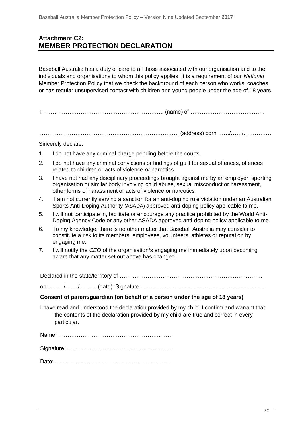# **Attachment C2: MEMBER PROTECTION DECLARATION**

Baseball Australia has a duty of care to all those associated with our organisation and to the individuals and organisations to whom this policy applies. It is a requirement of our *National*  Member Protection Policy that we check the background of each person who works, coaches or has regular unsupervised contact with children and young people under the age of 18 years.

I ……………………………………………………….. (name) of ………………………………….

.……………………………………………………………….. (address) born ……/……/……………

### Sincerely declare:

- 1. I do not have any criminal charge pending before the courts.
- 2. I do not have any criminal convictions or findings of guilt for sexual offences, offences related to children or acts of violence *or* narcotics.
- 3. I have not had any disciplinary proceedings brought against me by an employer, sporting organisation or similar body involving child abuse, sexual misconduct or harassment, other forms of harassment or acts of violence or narcotics
- 4. I am not currently serving a sanction for an anti-doping rule violation under an Australian Sports Anti-Doping Authority (ASADA) approved anti-doping policy applicable to me.
- 5. I will not participate in, facilitate or encourage any practice prohibited by the World Anti-Doping Agency Code or any other ASADA approved anti-doping policy applicable to me.
- 6. To my knowledge, there is no other matter that Baseball Australia may consider to constitute a risk to its members, employees, volunteers, athletes or reputation by engaging me.
- 7. I will notify the *CEO* of the organisation/s engaging me immediately upon becoming aware that any matter set out above has changed.

Declared in the state/territory of ……………………………………….………………………….

on …….../……./……….(date) Signature ………………………………………………………….

### **Consent of parent/guardian (on behalf of a person under the age of 18 years)**

I have read and understood the declaration provided by my child. I confirm and warrant that the contents of the declaration provided by my child are true and correct in every particular.

Name: ……………………………………………….…….

Signature: …………………………………………………

Date: ………………………………………. …………….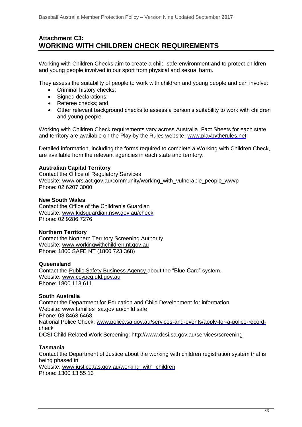# **Attachment C3: WORKING WITH CHILDREN CHECK REQUIREMENTS**

Working with Children Checks aim to create a child-safe environment and to protect children and young people involved in our sport from physical and sexual harm.

They assess the suitability of people to work with children and young people and can involve:

- Criminal history checks;
- Signed declarations;
- Referee checks: and
- Other relevant background checks to assess a person's suitability to work with children and young people.

Working with Children Check requirements vary across Australia. [Fact Sheets](http://www.playbytherules.net.au/legal-stuff/child-protection/child-protection-laws-explained/screening) for each state and territory are available on the Play by the Rules website: [www.playbytherules.net](http://www.playbytherules.net/)

Detailed information, including the forms required to complete a Working with Children Check, are available from the relevant agencies in each state and territory.

### **Australian Capital Territory**

Contact the Office of Regulatory Services Website: www.ors.act.gov.au/community/working\_with\_vulnerable\_people\_wwyp Phone: 02 6207 3000

### **New South Wales**

Contact the Office of the Children's Guardian Website: [www.kidsguardian.nsw.gov.au/](http://www.kidsguardian.nsw.gov.au/)check Phone: 02 9286 7276

### **Northern Territory**

Contact the Northern Territory Screening Authority Website: [www.workingwithchildren.nt.gov.au](http://www.workingwithchildren.nt.gov.au/) Phone: 1800 SAFE NT (1800 723 368)

### **Queensland**

Contact the Public Safety Business Agency about the "Blue Card" system. Website: [www.ccypcg.qld.gov.au](http://www.ccypcg.qld.gov.au/) Phone: 1800 113 611

### **South Australia**

Contact the Department for Education and Child Development for information Website: [www.families](http://www.families/) .sa.gov.au/child safe Phone: 08 8463 6468. National Police Check: [www.police.sa.gov.au/services-and-events/apply-for-a-police-record](http://www.police.sa.gov.au/services-and-events/apply-for-a-police-record-check)[check](http://www.police.sa.gov.au/services-and-events/apply-for-a-police-record-check) DCSI Child Related Work Screening: http://www.dcsi.sa.gov.au/services/screening

### **Tasmania**

Contact the Department of Justice about the working with children registration system that is being phased in Website: [www.justice.tas.gov.au/working\\_with\\_children](http://www.justice.tas.gov.au/working_with_children) Phone: 1300 13 55 13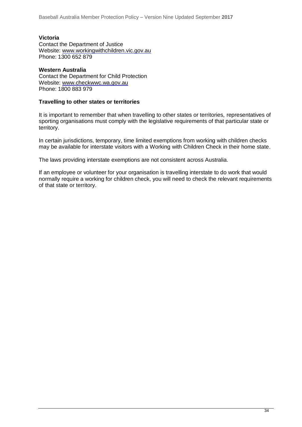### **Victoria**

Contact the Department of Justice Website: [www.workingwithchildren.vic.gov.au](http://www.workingwithchildren.vic.gov.au/) Phone: 1300 652 879

### **Western Australia**

Contact the Department for Child Protection Website: [www.checkwwc.wa.gov.au](http://www.checkwwc.wa.gov.au/) Phone: 1800 883 979

### **Travelling to other states or territories**

It is important to remember that when travelling to other states or territories, representatives of sporting organisations must comply with the legislative requirements of that particular state or territory.

In certain jurisdictions, temporary, time limited exemptions from working with children checks may be available for interstate visitors with a Working with Children Check in their home state.

The laws providing interstate exemptions are not consistent across Australia.

If an employee or volunteer for your organisation is travelling interstate to do work that would normally require a working for children check, you will need to check the relevant requirements of that state or territory.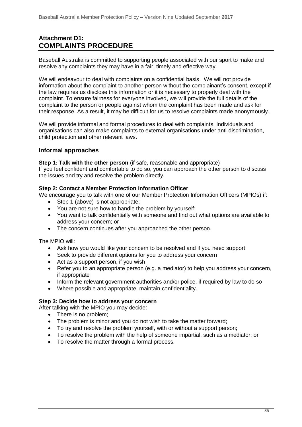# **Attachment D1: COMPLAINTS PROCEDURE**

Baseball Australia is committed to supporting people associated with our sport to make and resolve any complaints they may have in a fair, timely and effective way.

We will endeavour to deal with complaints on a confidential basis. We will not provide information about the complaint to another person without the complainant's consent, except if the law requires us disclose this information or it is necessary to properly deal with the complaint. To ensure fairness for everyone involved, we will provide the full details of the complaint to the person or people against whom the complaint has been made and ask for their response. As a result, it may be difficult for us to resolve complaints made anonymously.

We will provide informal and formal procedures to deal with complaints. Individuals and organisations can also make complaints to external organisations under anti-discrimination, child protection and other relevant laws.

### **Informal approaches**

### **Step 1: Talk with the other person** (if safe, reasonable and appropriate)

If you feel confident and comfortable to do so, you can approach the other person to discuss the issues and try and resolve the problem directly.

### **Step 2: Contact a Member Protection Information Officer**

We encourage you to talk with one of our Member Protection Information Officers (MPIOs) if:

- Step 1 (above) is not appropriate;
- You are not sure how to handle the problem by yourself;
- You want to talk confidentially with someone and find out what options are available to address your concern; or
- The concern continues after you approached the other person.

### The MPIO will:

- Ask how you would like your concern to be resolved and if you need support
- Seek to provide different options for you to address your concern
- Act as a support person, if you wish
- Refer you to an appropriate person (e.g. a mediator) to help you address your concern, if appropriate
- Inform the relevant government authorities and/or police, if required by law to do so
- Where possible and appropriate, maintain confidentiality.

### **Step 3: Decide how to address your concern**

After talking with the MPIO you may decide:

- There is no problem:
- The problem is minor and you do not wish to take the matter forward;
- To try and resolve the problem yourself, with or without a support person;
- To resolve the problem with the help of someone impartial, such as a mediator; or
- To resolve the matter through a formal process.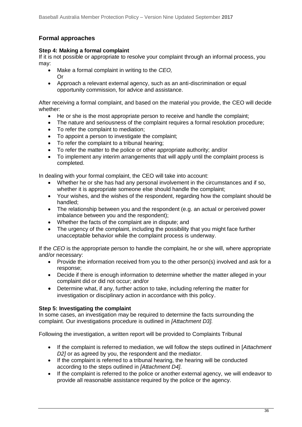## **Formal approaches**

### **Step 4: Making a formal complaint**

If it is not possible or appropriate to resolve your complaint through an informal process, you may:

- Make a formal complaint in writing to the *CEO,*  Or
- Approach a relevant external agency, such as an anti-discrimination or equal opportunity commission, for advice and assistance.

After receiving a formal complaint, and based on the material you provide, the CEO will decide whether:

- He or she is the most appropriate person to receive and handle the complaint;
- The nature and seriousness of the complaint requires a formal resolution procedure;
- To refer the complaint to mediation;
- To appoint a person to investigate the complaint;
- To refer the complaint to a tribunal hearing;
- To refer the matter to the police or other appropriate authority; and/or
- To implement any interim arrangements that will apply until the complaint process is completed.

In dealing with your formal complaint, the CEO will take into account:

- Whether he or she has had any personal involvement in the circumstances and if so, whether it is appropriate someone else should handle the complaint:
- Your wishes, and the wishes of the respondent, regarding how the complaint should be handled;
- The relationship between you and the respondent (e.g. an actual or perceived power imbalance between you and the respondent);
- Whether the facts of the complaint are in dispute; and
- The urgency of the complaint, including the possibility that you might face further unacceptable behavior while the complaint process is underway.

If the *CEO* is the appropriate person to handle the complaint, he or she will, where appropriate and/or necessary:

- Provide the information received from you to the other person(s) involved and ask for a response;
- Decide if there is enough information to determine whether the matter alleged in your complaint did or did not occur; and/or
- Determine what, if any, further action to take, including referring the matter for investigation or disciplinary action in accordance with this policy.

### **Step 5: Investigating the complaint**

In some cases, an investigation may be required to determine the facts surrounding the complaint. Our investigations procedure is outlined in *[Attachment D3].* 

Following the investigation, a written report will be provided to Complaints Tribunal

- If the complaint is referred to mediation, we will follow the steps outlined in [*Attachment D2]* or as agreed by you, the respondent and the mediator.
- If the complaint is referred to a tribunal hearing, the hearing will be conducted according to the steps outlined in *[Attachment D4]*.
- If the complaint is referred to the police or another external agency, we will endeavor to provide all reasonable assistance required by the police or the agency.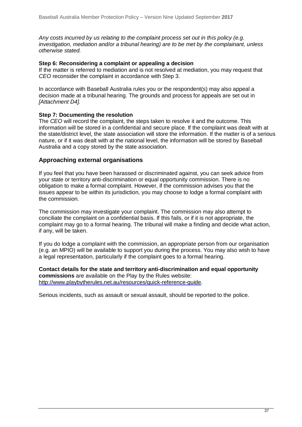*Any costs incurred by us relating to the complaint process set out in this policy (e.g. investigation, mediation and/or a tribunal hearing) are to be met by the complainant, unless otherwise stated.*

### **Step 6: Reconsidering a complaint or appealing a decision**

If the matter is referred to mediation and is not resolved at mediation, you may request that *CEO* reconsider the complaint in accordance with Step 3.

In accordance with Baseball Australia rules you or the respondent(s) may also appeal a decision made at a tribunal hearing. The grounds and process for appeals are set out in *[Attachment D4].*

### **Step 7: Documenting the resolution**

The *CEO* will record the complaint, the steps taken to resolve it and the outcome. This information will be stored in a confidential and secure place. If the complaint was dealt with at the state/district level, the state association will store the information. If the matter is of a serious nature, or if it was dealt with at the national level, the information will be stored by Baseball Australia and a copy stored by the state association.

### **Approaching external organisations**

If you feel that you have been harassed or discriminated against, you can seek advice from your state or territory anti-discrimination or equal opportunity commission. There is no obligation to make a formal complaint. However, if the commission advises you that the issues appear to be within its jurisdiction, you may choose to lodge a formal complaint with the commission.

The commission may investigate your complaint. The commission may also attempt to conciliate the complaint on a confidential basis. If this fails, or if it is not appropriate, the complaint may go to a formal hearing. The tribunal will make a finding and decide what action, if any, will be taken.

If you do lodge a complaint with the commission, an appropriate person from our organisation (e.g. an MPIO) will be available to support you during the process. You may also wish to have a legal representation, particularly if the complaint goes to a formal hearing.

**Contact details for the state and territory anti-discrimination and equal opportunity commissions** are available on the Play by the Rules website: http://www.playbytherules.net.au/resources/quick-reference-quide.

Serious incidents, such as assault or sexual assault, should be reported to the police.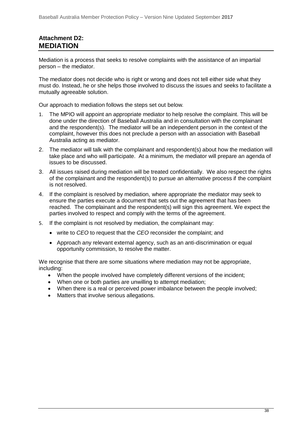# **Attachment D2: MEDIATION**

Mediation is a process that seeks to resolve complaints with the assistance of an impartial person – the mediator.

The mediator does not decide who is right or wrong and does not tell either side what they must do. Instead, he or she helps those involved to discuss the issues and seeks to facilitate a mutually agreeable solution.

Our approach to mediation follows the steps set out below*.*

- 1. The MPIO will appoint an appropriate mediator to help resolve the complaint. This will be done under the direction of Baseball Australia and in consultation with the complainant and the respondent(s). The mediator will be an independent person in the context of the complaint, however this does not preclude a person with an association with Baseball Australia acting as mediator.
- 2. The mediator will talk with the complainant and respondent(s) about how the mediation will take place and who will participate. At a minimum, the mediator will prepare an agenda of issues to be discussed.
- 3. All issues raised during mediation will be treated confidentially. We also respect the rights of the complainant and the respondent(s) to pursue an alternative process if the complaint is not resolved.
- 4. If the complaint is resolved by mediation, where appropriate the mediator may seek to ensure the parties execute a document that sets out the agreement that has been reached. The complainant and the respondent(s) will sign this agreement. We expect the parties involved to respect and comply with the terms of the agreement.
- 5. If the complaint is not resolved by mediation, the complainant may:
	- write to *CEO* to request that the *CEO* reconsider the complaint; and
	- Approach any relevant external agency, such as an anti-discrimination or equal opportunity commission, to resolve the matter.

We recognise that there are some situations where mediation may not be appropriate, including:

- When the people involved have completely different versions of the incident;
- When one or both parties are unwilling to attempt mediation;
- When there is a real or perceived power imbalance between the people involved:
- Matters that involve serious allegations.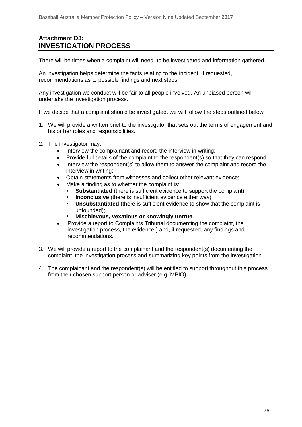# **Attachment D3: INVESTIGATION PROCESS**

There will be times when a complaint will need to be investigated and information gathered.

An investigation helps determine the facts relating to the incident, if requested, recommendations as to possible findings and next steps.

Any investigation we conduct will be fair to all people involved. An unbiased person will undertake the investigation process.

If we decide that a complaint should be investigated, we will follow the steps outlined below.

- 1. We will provide a written brief to the investigator that sets out the terms of engagement and his or her roles and responsibilities.
- 2. The investigator may:
	- Interview the complainant and record the interview in writing;
	- Provide full details of the complaint to the respondent(s) so that they can respond
	- Interview the respondent(s) to allow them to answer the complaint and record the interview in writing;
	- Obtain statements from witnesses and collect other relevant evidence;
	- Make a finding as to whether the complaint is:
		- **Substantiated** (there is sufficient evidence to support the complaint)
		- **EXEDENTIFIELD** Inconclusive (there is insufficient evidence either way);
		- **Unsubstantiated** (there is sufficient evidence to show that the complaint is unfounded);
		- **Mischievous, vexatious or knowingly untrue.**
	- Provide a report to Complaints Tribunal documenting the complaint, the investigation process, the evidence,) and, if requested, any findings and recommendations.
- 3. We will provide a report to the complainant and the respondent(s) documenting the complaint, the investigation process and summarizing key points from the investigation.
- 4. The complainant and the respondent(s) will be entitled to support throughout this process from their chosen support person or adviser (e.g. MPIO).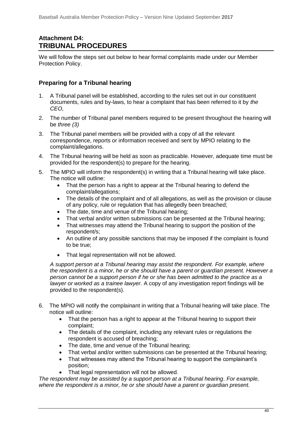# **Attachment D4: TRIBUNAL PROCEDURES**

We will follow the steps set out below to hear formal complaints made under our Member Protection Policy.

### **Preparing for a Tribunal hearing**

- 1. A Tribunal panel will be established, according to the rules set out in our constituent documents, rules and by-laws, to hear a complaint that has been referred to it by *the CEO,*
- 2. The number of Tribunal panel members required to be present throughout the hearing will be *three (3)*
- 3. The Tribunal panel members will be provided with a copy of all the relevant correspondence, reports or information received and sent by MPIO relating to the complaint/allegations.
- 4. The Tribunal hearing will be held as soon as practicable. However, adequate time must be provided for the respondent(s) to prepare for the hearing.
- 5. The MPIO will inform the respondent(s) in writing that a Tribunal hearing will take place. The notice will outline:
	- That the person has a right to appear at the Tribunal hearing to defend the complaint/allegations;
	- The details of the complaint and of all allegations, as well as the provision or clause of any policy, rule or regulation that has allegedly been breached;
	- The date, time and venue of the Tribunal hearing;
	- That verbal and/or written submissions can be presented at the Tribunal hearing;
	- That witnesses may attend the Tribunal hearing to support the position of the respondent/s;
	- An outline of any possible sanctions that may be imposed if the complaint is found to be true;
	- That legal representation will not be allowed.

*A support person at a Tribunal hearing may assist the respondent. For example, where the respondent is a minor, he or she should have a parent or guardian present. However a person cannot be a support person if he or she has been admitted to the practice as a lawyer or worked as a trainee lawyer.* A copy of any investigation report findings will be provided to the respondent(s).

- 6. The MPIO will notify the complainant in writing that a Tribunal hearing will take place. The notice will outline:
	- That the person has a right to appear at the Tribunal hearing to support their complaint;
	- The details of the complaint, including any relevant rules or regulations the respondent is accused of breaching;
	- The date, time and venue of the Tribunal hearing;
	- That verbal and/or written submissions can be presented at the Tribunal hearing;
	- That witnesses may attend the Tribunal hearing to support the complainant's position;
	- That legal representation will not be allowed.

*The respondent may be assisted by a support person at a Tribunal hearing. For example, where the respondent is a minor, he or she should have a parent or guardian present.*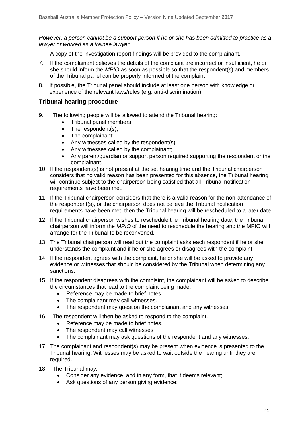*However, a person cannot be a support person if he or she has been admitted to practice as a lawyer or worked as a trainee lawyer.*

A copy of the investigation report findings will be provided to the complainant.

- 7. If the complainant believes the details of the complaint are incorrect or insufficient, he or she should inform the *MPIO* as soon as possible so that the respondent(s) and members of the Tribunal panel can be properly informed of the complaint.
- 8. If possible, the Tribunal panel should include at least one person with knowledge or experience of the relevant laws/rules (e.g. anti-discrimination).

### **Tribunal hearing procedure**

- 9. The following people will be allowed to attend the Tribunal hearing:
	- Tribunal panel members:
	- The respondent(s);
	- The complainant;
	- Any witnesses called by the respondent(s);
	- Any witnesses called by the complainant;
	- Any parent/guardian or support person required supporting the respondent or the complainant.
- 10. If the respondent(s) is not present at the set hearing time and the Tribunal chairperson considers that no valid reason has been presented for this absence, the Tribunal hearing will continue subject to the chairperson being satisfied that all Tribunal notification requirements have been met.
- 11. If the Tribunal chairperson considers that there is a valid reason for the non-attendance of the respondent(s), or the chairperson does not believe the Tribunal notification requirements have been met, then the Tribunal hearing will be rescheduled to a later date.
- 12. If the Tribunal chairperson wishes to reschedule the Tribunal hearing date, the Tribunal chairperson will inform the *MPIO* of the need to reschedule the hearing and the MPIO will arrange for the Tribunal to be reconvened.
- 13. The Tribunal chairperson will read out the complaint asks each respondent if he or she understands the complaint and if he or she agrees or disagrees with the complaint.
- 14. If the respondent agrees with the complaint, he or she will be asked to provide any evidence or witnesses that should be considered by the Tribunal when determining any sanctions.
- 15. If the respondent disagrees with the complaint, the complainant will be asked to describe the circumstances that lead to the complaint being made.
	- Reference may be made to brief notes.
	- The complainant may call witnesses.
	- The respondent may question the complainant and any witnesses.
- 16. The respondent will then be asked to respond to the complaint.
	- Reference may be made to brief notes.
	- The respondent may call witnesses.
	- The complainant may ask questions of the respondent and any witnesses.
- 17. The complainant and respondent(s) may be present when evidence is presented to the Tribunal hearing. Witnesses may be asked to wait outside the hearing until they are required.
- 18. The Tribunal may:
	- Consider any evidence, and in any form, that it deems relevant;
	- Ask questions of any person giving evidence;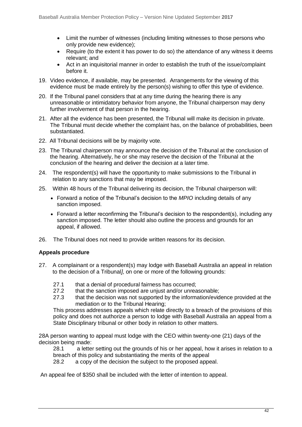- Limit the number of witnesses (including limiting witnesses to those persons who only provide new evidence);
- Require (to the extent it has power to do so) the attendance of any witness it deems relevant; and
- Act in an inquisitorial manner in order to establish the truth of the issue/complaint before it.
- 19. Video evidence, if available, may be presented. Arrangements for the viewing of this evidence must be made entirely by the person(s) wishing to offer this type of evidence.
- 20. If the Tribunal panel considers that at any time during the hearing there is any unreasonable or intimidatory behavior from anyone, the Tribunal chairperson may deny further involvement of that person in the hearing.
- 21. After all the evidence has been presented, the Tribunal will make its decision in private. The Tribunal must decide whether the complaint has, on the balance of probabilities, been substantiated.
- 22. All Tribunal decisions will be by majority vote.
- 23. The Tribunal chairperson may announce the decision of the Tribunal at the conclusion of the hearing. Alternatively, he or she may reserve the decision of the Tribunal at the conclusion of the hearing and deliver the decision at a later time.
- 24. The respondent(s) will have the opportunity to make submissions to the Tribunal in relation to any sanctions that may be imposed.
- 25. Within 48 hours of the Tribunal delivering its decision, the Tribunal chairperson will:
	- Forward a notice of the Tribunal's decision to the *MPIO* including details of any sanction imposed.
	- Forward a letter reconfirming the Tribunal's decision to the respondent(s), including any sanction imposed. The letter should also outline the process and grounds for an appeal, if allowed.
- 26. The Tribunal does not need to provide written reasons for its decision.

### **Appeals procedure**

- 27. A complainant or a respondent(s) may lodge with Baseball Australia an appeal in relation to the decision of a Tribunal*]*, on one or more of the following grounds:
	- 27.1 that a denial of procedural fairness has occurred;
	- 27.2 that the sanction imposed are unjust and/or unreasonable;
	- 27.3 that the decision was not supported by the information/evidence provided at the mediation or to the Tribunal Hearing;

This process addresses appeals which relate directly to a breach of the provisions of this policy and does not authorize a person to lodge with Baseball Australia an appeal from a State Disciplinary tribunal or other body in relation to other matters.

28A person wanting to appeal must lodge with the CEO within twenty-one (21) days of the decision being made:

28.1 a letter setting out the grounds of his or her appeal, how it arises in relation to a breach of this policy and substantiating the merits of the appeal

28.2 a copy of the decision the subject to the proposed appeal.

An appeal fee of \$350 shall be included with the letter of intention to appeal.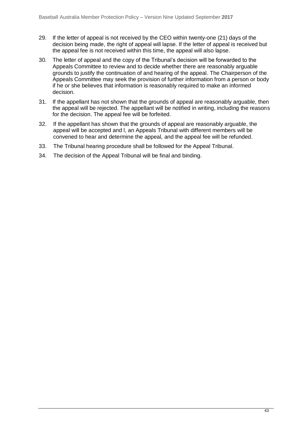- 29. If the letter of appeal is not received by the CEO within twenty-one (21) days of the decision being made, the right of appeal will lapse. If the letter of appeal is received but the appeal fee is not received within this time, the appeal will also lapse.
- 30. The letter of appeal and the copy of the Tribunal's decision will be forwarded to the Appeals Committee to review and to decide whether there are reasonably arguable grounds to justify the continuation of and hearing of the appeal. The Chairperson of the Appeals Committee may seek the provision of further information from a person or body if he or she believes that information is reasonably required to make an informed decision.
- 31. If the appellant has not shown that the grounds of appeal are reasonably arguable, then the appeal will be rejected. The appellant will be notified in writing, including the reasons for the decision. The appeal fee will be forfeited.
- 32. If the appellant has shown that the grounds of appeal are reasonably arguable, the appeal will be accepted and l, an Appeals Tribunal with different members will be convened to hear and determine the appeal*,* and the appeal fee will be refunded.
- 33. The Tribunal hearing procedure shall be followed for the Appeal Tribunal.
- 34. The decision of the Appeal Tribunal will be final and binding.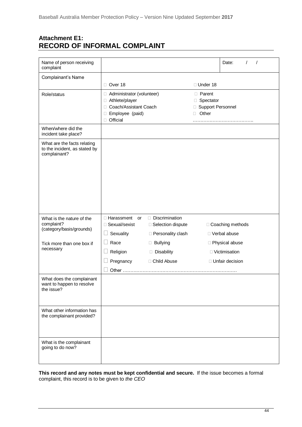# **Attachment E1: RECORD OF INFORMAL COMPLAINT**

| Name of person receiving<br>complaint                                        |                                                                                                           |                     |                                                                         | Date:<br>$\prime$<br>$\prime$ |
|------------------------------------------------------------------------------|-----------------------------------------------------------------------------------------------------------|---------------------|-------------------------------------------------------------------------|-------------------------------|
| Complainant's Name                                                           |                                                                                                           |                     |                                                                         |                               |
|                                                                              | □ Over 18                                                                                                 |                     | □ Under 18                                                              |                               |
| Role/status                                                                  | Administrator (volunteer)<br>□ Athlete/player<br>□ Coach/Assistant Coach<br>□ Employee (paid)<br>Official |                     | $\Box$ Parent<br>□ Spectator<br><b>Support Personnel</b><br>Other<br>П. |                               |
| When/where did the<br>incident take place?                                   |                                                                                                           |                     |                                                                         |                               |
| What are the facts relating<br>to the incident, as stated by<br>complainant? |                                                                                                           |                     |                                                                         |                               |
| What is the nature of the                                                    | □ Harassment<br>or                                                                                        | Discrimination      |                                                                         |                               |
| complaint?<br>(category/basis/grounds)                                       | □ Sexual/sexist                                                                                           | □ Selection dispute |                                                                         | □ Coaching methods            |
|                                                                              | Sexuality                                                                                                 | □ Personality clash |                                                                         | □ Verbal abuse                |
| Tick more than one box if<br>necessary                                       | Race<br>- 1                                                                                               | □ Bullying          |                                                                         | □ Physical abuse              |
|                                                                              | Religion                                                                                                  | Disability          |                                                                         | □ Victimisation               |
|                                                                              | Pregnancy                                                                                                 | □ Child Abuse       |                                                                         | □ Unfair decision             |
|                                                                              | Other                                                                                                     |                     |                                                                         |                               |
| What does the complainant<br>want to happen to resolve<br>the issue?         |                                                                                                           |                     |                                                                         |                               |
| What other information has<br>the complainant provided?                      |                                                                                                           |                     |                                                                         |                               |
| What is the complainant<br>going to do now?                                  |                                                                                                           |                     |                                                                         |                               |

**This record and any notes must be kept confidential and secure.** If the issue becomes a formal complaint, this record is to be given to *the CEO*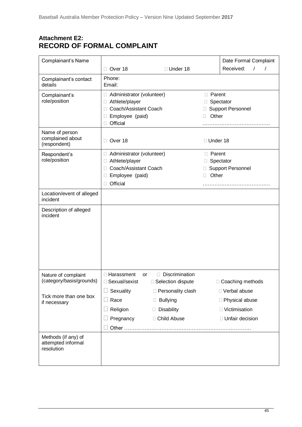# **Attachment E2: RECORD OF FORMAL COMPLAINT**

| Complainant's Name                                      |                                                                                                                                |                                                                       |                   | Date Formal Complaint                                                      |
|---------------------------------------------------------|--------------------------------------------------------------------------------------------------------------------------------|-----------------------------------------------------------------------|-------------------|----------------------------------------------------------------------------|
|                                                         | □ Over 18                                                                                                                      | □ Under 18                                                            |                   | Received:<br>$\prime$                                                      |
| Complainant's contact<br>details                        | Phone:<br>Email:                                                                                                               |                                                                       |                   |                                                                            |
| Complainant's<br>role/position                          | Administrator (volunteer)<br>Athlete/player<br>⊔<br>Coach/Assistant Coach<br>Ш<br>Employee (paid)<br>Ц<br>Official<br>□        |                                                                       | □ Parent<br>Other | Spectator<br><b>Support Personnel</b>                                      |
| Name of person<br>complained about<br>(respondent)      | Over 18<br>L                                                                                                                   |                                                                       | $\Box$ Under 18   |                                                                            |
| Respondent's<br>role/position                           | □ Administrator (volunteer)<br>Athlete/player<br>$\Box$<br>Coach/Assistant Coach<br>⊔<br>Employee (paid)<br>□<br>Official<br>L |                                                                       | □ Parent<br>Other | Spectator<br><b>Support Personnel</b>                                      |
| Location/event of alleged<br>incident                   |                                                                                                                                |                                                                       |                   |                                                                            |
| Description of alleged<br>incident                      |                                                                                                                                |                                                                       |                   |                                                                            |
| Nature of complaint<br>(category/basis/grounds)         | □ Harassment<br>or<br>□ Sexual/sexist                                                                                          | Discrimination<br>$\Box$<br>□ Selection dispute                       |                   | □ Coaching methods                                                         |
| Tick more than one box<br>if necessary                  | Sexuality<br>Race<br>Religion<br>Pregnancy                                                                                     | □ Personality clash<br>$\Box$ Bullying<br>Disability<br>□ Child Abuse |                   | □ Verbal abuse<br>□ Physical abuse<br>□ Victimisation<br>□ Unfair decision |
| Methods (if any) of<br>attempted informal<br>resolution |                                                                                                                                |                                                                       |                   |                                                                            |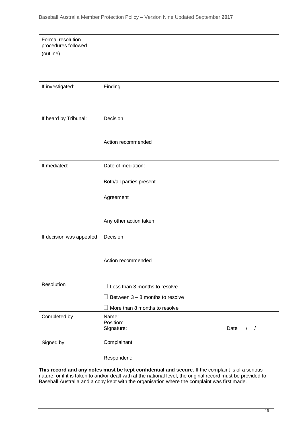| Formal resolution<br>procedures followed |                                                  |
|------------------------------------------|--------------------------------------------------|
| (outline)                                |                                                  |
|                                          |                                                  |
|                                          |                                                  |
| If investigated:                         | Finding                                          |
|                                          |                                                  |
| If heard by Tribunal:                    | Decision                                         |
|                                          |                                                  |
|                                          | Action recommended                               |
|                                          |                                                  |
| If mediated:                             | Date of mediation:                               |
|                                          | Both/all parties present                         |
|                                          | Agreement                                        |
|                                          |                                                  |
|                                          | Any other action taken                           |
|                                          |                                                  |
| If decision was appealed                 | Decision                                         |
|                                          |                                                  |
|                                          | Action recommended                               |
|                                          |                                                  |
| Resolution                               | $\Box$ Less than 3 months to resolve             |
|                                          | Between $3 - 8$ months to resolve                |
|                                          | More than 8 months to resolve                    |
| Completed by                             | Name:                                            |
|                                          | Position:<br>Signature:<br>Date<br>$\frac{1}{2}$ |
| Signed by:                               | Complainant:                                     |
|                                          | Respondent:                                      |
|                                          |                                                  |

**This record and any notes must be kept confidential and secure.** If the complaint is of a serious nature, or if it is taken to and/or dealt with at the national level, the original record must be provided to Baseball Australia and a copy kept with the organisation where the complaint was first made.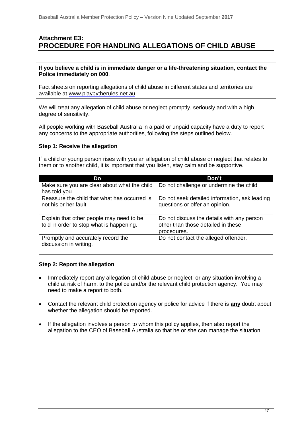# **Attachment E3: PROCEDURE FOR HANDLING ALLEGATIONS OF CHILD ABUSE**

**If you believe a child is in immediate danger or a life-threatening situation**, **contact the Police immediately on 000**.

Fact sheets on reporting allegations of child abuse in different states and territories are available at [www.playbytherules.net.au](http://www.playbytherules.net.au/)

We will treat any allegation of child abuse or neglect promptly, seriously and with a high degree of sensitivity.

All people working with Baseball Australia in a paid or unpaid capacity have a duty to report any concerns to the appropriate authorities, following the steps outlined below.

### **Step 1: Receive the allegation**

If a child or young person rises with you an allegation of child abuse or neglect that relates to them or to another child, it is important that you listen, stay calm and be supportive.

| Do                                                                                   | Don't                                                                                           |
|--------------------------------------------------------------------------------------|-------------------------------------------------------------------------------------------------|
| Make sure you are clear about what the child<br>has told you                         | Do not challenge or undermine the child                                                         |
| Reassure the child that what has occurred is<br>not his or her fault                 | Do not seek detailed information, ask leading<br>questions or offer an opinion.                 |
| Explain that other people may need to be<br>told in order to stop what is happening. | Do not discuss the details with any person<br>other than those detailed in these<br>procedures. |
| Promptly and accurately record the<br>discussion in writing.                         | Do not contact the alleged offender.                                                            |

### **Step 2: Report the allegation**

- Immediately report any allegation of child abuse or neglect, or any situation involving a child at risk of harm, to the police and/or the relevant child protection agency. You may need to make a report to both.
- Contact the relevant child protection agency or police for advice if there is **any** doubt about whether the allegation should be reported.
- If the allegation involves a person to whom this policy applies, then also report the allegation to the CEO of Baseball Australia so that he or she can manage the situation.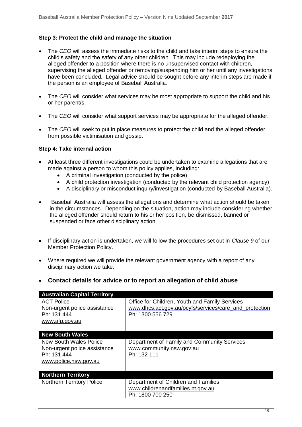### **Step 3: Protect the child and manage the situation**

- The *CEO* will assess the immediate risks to the child and take interim steps to ensure the child's safety and the safety of any other children. This may include redeploying the alleged offender to a position where there is no unsupervised contact with children, supervising the alleged offender or removing/suspending him or her until any investigations have been concluded. Legal advice should be sought before any interim steps are made if the person is an employee of Baseball Australia.
- The *CEO* will consider what services may be most appropriate to support the child and his or her parent/s.
- The *CEO* will consider what support services may be appropriate for the alleged offender.
- The *CEO* will seek to put in place measures to protect the child and the alleged offender from possible victimisation and gossip.

### **Step 4: Take internal action**

- At least three different investigations could be undertaken to examine allegations that are made against a person to whom this policy applies, including:
	- A criminal investigation (conducted by the police)
	- A child protection investigation (conducted by the relevant child protection agency)
	- A disciplinary or misconduct inquiry/investigation (conducted by Baseball Australia).
- Baseball Australia will assess the allegations and determine what action should be taken in the circumstances. Depending on the situation, action may include considering whether the alleged offender should return to his or her position, be dismissed, banned or suspended or face other disciplinary action.
- If disciplinary action is undertaken, we will follow the procedures set out in *Clause 9* of our Member Protection Policy.
- Where required we will provide the relevant government agency with a report of any disciplinary action we take.
- **Contact details for advice or to report an allegation of child abuse**

| <b>Australian Capital Territory</b>                                                            |                                                                                                                              |
|------------------------------------------------------------------------------------------------|------------------------------------------------------------------------------------------------------------------------------|
| <b>ACT Police</b><br>Non-urgent police assistance<br>Ph: 131 444<br>www.afp.gov.au             | Office for Children, Youth and Family Services<br>www.dhcs.act.gov.au/ocyfs/services/care_and_protection<br>Ph: 1300 556 729 |
| <b>New South Wales</b>                                                                         |                                                                                                                              |
| New South Wales Police<br>Non-urgent police assistance<br>Ph: 131 444<br>www.police.nsw.gov.au | Department of Family and Community Services<br>www.community.nsw.gov.au<br>Ph: 132 111                                       |
| <b>Northern Territory</b>                                                                      |                                                                                                                              |
| <b>Northern Territory Police</b>                                                               | Department of Children and Families<br>www.childrenandfamilies.nt.gov.au<br>Ph: 1800 700 250                                 |